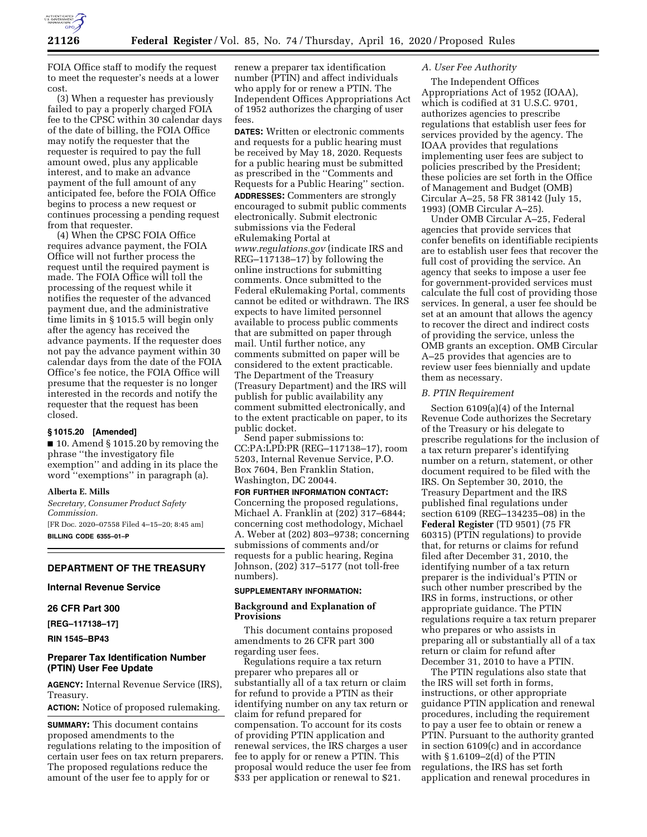

FOIA Office staff to modify the request to meet the requester's needs at a lower cost.

(3) When a requester has previously failed to pay a properly charged FOIA fee to the CPSC within 30 calendar days of the date of billing, the FOIA Office may notify the requester that the requester is required to pay the full amount owed, plus any applicable interest, and to make an advance payment of the full amount of any anticipated fee, before the FOIA Office begins to process a new request or continues processing a pending request from that requester.

(4) When the CPSC FOIA Office requires advance payment, the FOIA Office will not further process the request until the required payment is made. The FOIA Office will toll the processing of the request while it notifies the requester of the advanced payment due, and the administrative time limits in § 1015.5 will begin only after the agency has received the advance payments. If the requester does not pay the advance payment within 30 calendar days from the date of the FOIA Office's fee notice, the FOIA Office will presume that the requester is no longer interested in the records and notify the requester that the request has been closed.

# **§ 1015.20 [Amended]**

■ 10. Amend § 1015.20 by removing the phrase ''the investigatory file exemption'' and adding in its place the word ''exemptions'' in paragraph (a).

#### **Alberta E. Mills**

*Secretary, Consumer Product Safety Commission.*  [FR Doc. 2020–07558 Filed 4–15–20; 8:45 am] **BILLING CODE 6355–01–P** 

# **DEPARTMENT OF THE TREASURY**

## **Internal Revenue Service**

## **26 CFR Part 300**

**[REG–117138–17]** 

**RIN 1545–BP43** 

## **Preparer Tax Identification Number (PTIN) User Fee Update**

**AGENCY:** Internal Revenue Service (IRS), Treasury. **ACTION:** Notice of proposed rulemaking.

**SUMMARY:** This document contains

proposed amendments to the regulations relating to the imposition of certain user fees on tax return preparers. The proposed regulations reduce the amount of the user fee to apply for or

renew a preparer tax identification number (PTIN) and affect individuals who apply for or renew a PTIN. The Independent Offices Appropriations Act of 1952 authorizes the charging of user fees.

**DATES:** Written or electronic comments and requests for a public hearing must be received by May 18, 2020. Requests for a public hearing must be submitted as prescribed in the ''Comments and Requests for a Public Hearing'' section. **ADDRESSES:** Commenters are strongly encouraged to submit public comments electronically. Submit electronic submissions via the Federal eRulemaking Portal at *[www.regulations.gov](http://www.regulations.gov)* (indicate IRS and REG–117138–17) by following the online instructions for submitting comments. Once submitted to the Federal eRulemaking Portal, comments cannot be edited or withdrawn. The IRS expects to have limited personnel available to process public comments that are submitted on paper through mail. Until further notice, any comments submitted on paper will be considered to the extent practicable. The Department of the Treasury (Treasury Department) and the IRS will publish for public availability any comment submitted electronically, and to the extent practicable on paper, to its public docket.

Send paper submissions to: CC:PA:LPD:PR (REG–117138–17), room 5203, Internal Revenue Service, P.O. Box 7604, Ben Franklin Station, Washington, DC 20044.

# **FOR FURTHER INFORMATION CONTACT:**  Concerning the proposed regulations, Michael A. Franklin at (202) 317–6844; concerning cost methodology, Michael A. Weber at (202) 803–9738; concerning submissions of comments and/or requests for a public hearing, Regina

Johnson, (202) 317–5177 (not toll-free numbers).

# **SUPPLEMENTARY INFORMATION:**

## **Background and Explanation of Provisions**

This document contains proposed amendments to 26 CFR part 300 regarding user fees.

Regulations require a tax return preparer who prepares all or substantially all of a tax return or claim for refund to provide a PTIN as their identifying number on any tax return or claim for refund prepared for compensation. To account for its costs of providing PTIN application and renewal services, the IRS charges a user fee to apply for or renew a PTIN. This proposal would reduce the user fee from \$33 per application or renewal to \$21.

# *A. User Fee Authority*

The Independent Offices Appropriations Act of 1952 (IOAA), which is codified at 31 U.S.C. 9701, authorizes agencies to prescribe regulations that establish user fees for services provided by the agency. The IOAA provides that regulations implementing user fees are subject to policies prescribed by the President; these policies are set forth in the Office of Management and Budget (OMB) Circular A–25, 58 FR 38142 (July 15, 1993) (OMB Circular A–25).

Under OMB Circular A–25, Federal agencies that provide services that confer benefits on identifiable recipients are to establish user fees that recover the full cost of providing the service. An agency that seeks to impose a user fee for government-provided services must calculate the full cost of providing those services. In general, a user fee should be set at an amount that allows the agency to recover the direct and indirect costs of providing the service, unless the OMB grants an exception. OMB Circular A–25 provides that agencies are to review user fees biennially and update them as necessary.

### *B. PTIN Requirement*

Section 6109(a)(4) of the Internal Revenue Code authorizes the Secretary of the Treasury or his delegate to prescribe regulations for the inclusion of a tax return preparer's identifying number on a return, statement, or other document required to be filed with the IRS. On September 30, 2010, the Treasury Department and the IRS published final regulations under section 6109 (REG–134235–08) in the **Federal Register** (TD 9501) (75 FR 60315) (PTIN regulations) to provide that, for returns or claims for refund filed after December 31, 2010, the identifying number of a tax return preparer is the individual's PTIN or such other number prescribed by the IRS in forms, instructions, or other appropriate guidance. The PTIN regulations require a tax return preparer who prepares or who assists in preparing all or substantially all of a tax return or claim for refund after December 31, 2010 to have a PTIN.

The PTIN regulations also state that the IRS will set forth in forms, instructions, or other appropriate guidance PTIN application and renewal procedures, including the requirement to pay a user fee to obtain or renew a PTIN. Pursuant to the authority granted in section 6109(c) and in accordance with § 1.6109–2(d) of the PTIN regulations, the IRS has set forth application and renewal procedures in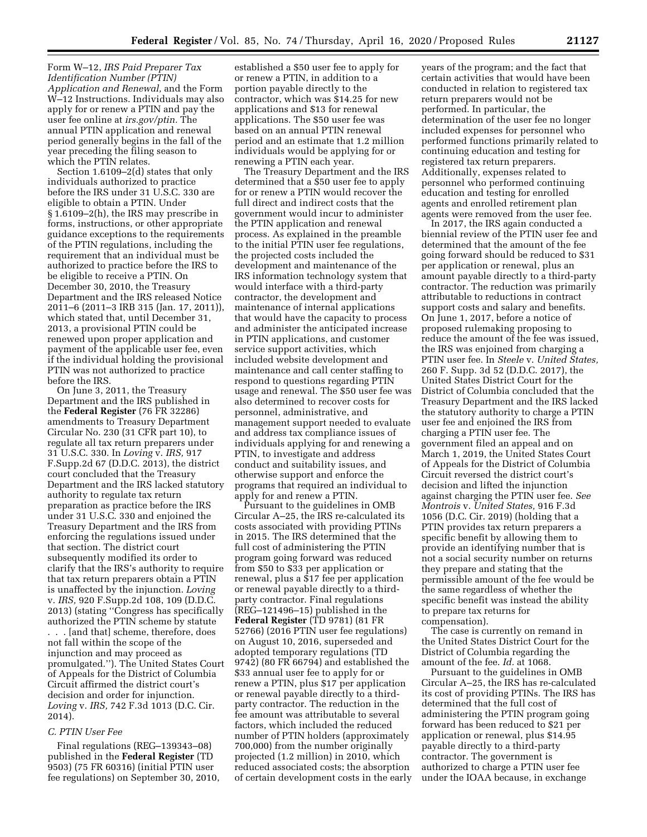Form W–12, *IRS Paid Preparer Tax Identification Number (PTIN) Application and Renewal,* and the Form W–12 Instructions. Individuals may also apply for or renew a PTIN and pay the user fee online at *irs.gov/ptin.* The annual PTIN application and renewal period generally begins in the fall of the year preceding the filing season to which the PTIN relates.

Section 1.6109–2(d) states that only individuals authorized to practice before the IRS under 31 U.S.C. 330 are eligible to obtain a PTIN. Under § 1.6109–2(h), the IRS may prescribe in forms, instructions, or other appropriate guidance exceptions to the requirements of the PTIN regulations, including the requirement that an individual must be authorized to practice before the IRS to be eligible to receive a PTIN. On December 30, 2010, the Treasury Department and the IRS released Notice 2011–6 (2011–3 IRB 315 (Jan. 17, 2011)), which stated that, until December 31, 2013, a provisional PTIN could be renewed upon proper application and payment of the applicable user fee, even if the individual holding the provisional PTIN was not authorized to practice before the IRS.

On June 3, 2011, the Treasury Department and the IRS published in the **Federal Register** (76 FR 32286) amendments to Treasury Department Circular No. 230 (31 CFR part 10), to regulate all tax return preparers under 31 U.S.C. 330. In *Loving* v. *IRS,* 917 F.Supp.2d 67 (D.D.C. 2013), the district court concluded that the Treasury Department and the IRS lacked statutory authority to regulate tax return preparation as practice before the IRS under 31 U.S.C. 330 and enjoined the Treasury Department and the IRS from enforcing the regulations issued under that section. The district court subsequently modified its order to clarify that the IRS's authority to require that tax return preparers obtain a PTIN is unaffected by the injunction. *Loving*  v. *IRS,* 920 F.Supp.2d 108, 109 (D.D.C. 2013) (stating ''Congress has specifically authorized the PTIN scheme by statute . . . [and that] scheme, therefore, does not fall within the scope of the injunction and may proceed as promulgated.''). The United States Court of Appeals for the District of Columbia Circuit affirmed the district court's decision and order for injunction. *Loving* v. *IRS,* 742 F.3d 1013 (D.C. Cir. 2014).

## *C. PTIN User Fee*

Final regulations (REG–139343–08) published in the **Federal Register** (TD 9503) (75 FR 60316) (initial PTIN user fee regulations) on September 30, 2010,

established a \$50 user fee to apply for or renew a PTIN, in addition to a portion payable directly to the contractor, which was \$14.25 for new applications and \$13 for renewal applications. The \$50 user fee was based on an annual PTIN renewal period and an estimate that 1.2 million individuals would be applying for or renewing a PTIN each year.

The Treasury Department and the IRS determined that a \$50 user fee to apply for or renew a PTIN would recover the full direct and indirect costs that the government would incur to administer the PTIN application and renewal process. As explained in the preamble to the initial PTIN user fee regulations, the projected costs included the development and maintenance of the IRS information technology system that would interface with a third-party contractor, the development and maintenance of internal applications that would have the capacity to process and administer the anticipated increase in PTIN applications, and customer service support activities, which included website development and maintenance and call center staffing to respond to questions regarding PTIN usage and renewal. The \$50 user fee was also determined to recover costs for personnel, administrative, and management support needed to evaluate and address tax compliance issues of individuals applying for and renewing a PTIN, to investigate and address conduct and suitability issues, and otherwise support and enforce the programs that required an individual to apply for and renew a PTIN.

Pursuant to the guidelines in OMB Circular A–25, the IRS re-calculated its costs associated with providing PTINs in 2015. The IRS determined that the full cost of administering the PTIN program going forward was reduced from \$50 to \$33 per application or renewal, plus a \$17 fee per application or renewal payable directly to a thirdparty contractor. Final regulations (REG–121496–15) published in the **Federal Register** (TD 9781) (81 FR 52766) (2016 PTIN user fee regulations) on August 10, 2016, superseded and adopted temporary regulations (TD 9742) (80 FR 66794) and established the \$33 annual user fee to apply for or renew a PTIN, plus \$17 per application or renewal payable directly to a thirdparty contractor. The reduction in the fee amount was attributable to several factors, which included the reduced number of PTIN holders (approximately 700,000) from the number originally projected (1.2 million) in 2010, which reduced associated costs; the absorption of certain development costs in the early years of the program; and the fact that certain activities that would have been conducted in relation to registered tax return preparers would not be performed. In particular, the determination of the user fee no longer included expenses for personnel who performed functions primarily related to continuing education and testing for registered tax return preparers. Additionally, expenses related to personnel who performed continuing education and testing for enrolled agents and enrolled retirement plan agents were removed from the user fee.

In 2017, the IRS again conducted a biennial review of the PTIN user fee and determined that the amount of the fee going forward should be reduced to \$31 per application or renewal, plus an amount payable directly to a third-party contractor. The reduction was primarily attributable to reductions in contract support costs and salary and benefits. On June 1, 2017, before a notice of proposed rulemaking proposing to reduce the amount of the fee was issued, the IRS was enjoined from charging a PTIN user fee. In *Steele* v. *United States,*  260 F. Supp. 3d 52 (D.D.C. 2017), the United States District Court for the District of Columbia concluded that the Treasury Department and the IRS lacked the statutory authority to charge a PTIN user fee and enjoined the IRS from charging a PTIN user fee. The government filed an appeal and on March 1, 2019, the United States Court of Appeals for the District of Columbia Circuit reversed the district court's decision and lifted the injunction against charging the PTIN user fee. *See Montrois* v. *United States,* 916 F.3d 1056 (D.C. Cir. 2019) (holding that a PTIN provides tax return preparers a specific benefit by allowing them to provide an identifying number that is not a social security number on returns they prepare and stating that the permissible amount of the fee would be the same regardless of whether the specific benefit was instead the ability to prepare tax returns for compensation).

The case is currently on remand in the United States District Court for the District of Columbia regarding the amount of the fee. *Id.* at 1068.

Pursuant to the guidelines in OMB Circular A–25, the IRS has re-calculated its cost of providing PTINs. The IRS has determined that the full cost of administering the PTIN program going forward has been reduced to \$21 per application or renewal, plus \$14.95 payable directly to a third-party contractor. The government is authorized to charge a PTIN user fee under the IOAA because, in exchange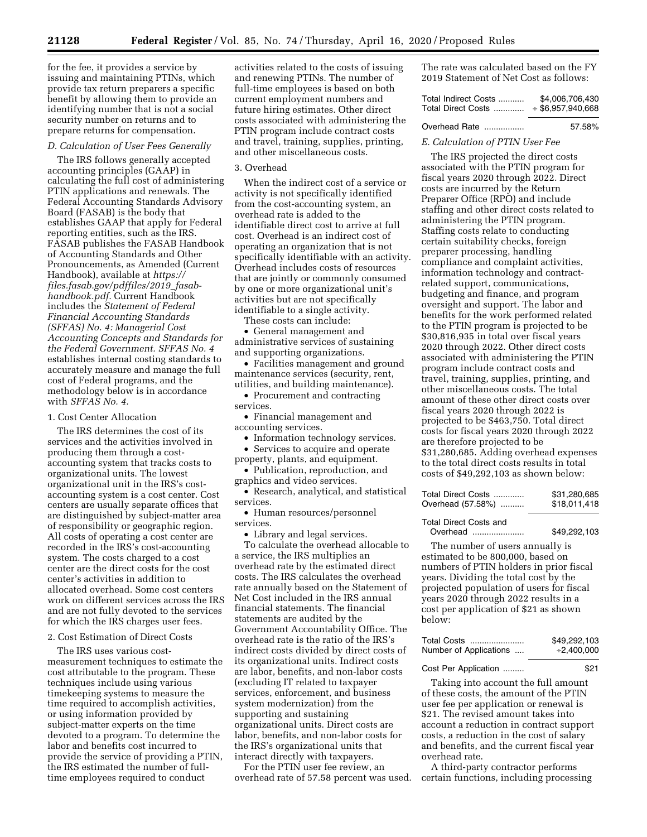for the fee, it provides a service by issuing and maintaining PTINs, which provide tax return preparers a specific benefit by allowing them to provide an identifying number that is not a social security number on returns and to prepare returns for compensation.

## *D. Calculation of User Fees Generally*

The IRS follows generally accepted accounting principles (GAAP) in calculating the full cost of administering PTIN applications and renewals. The Federal Accounting Standards Advisory Board (FASAB) is the body that establishes GAAP that apply for Federal reporting entities, such as the IRS. FASAB publishes the FASAB Handbook of Accounting Standards and Other Pronouncements, as Amended (Current Handbook), available at *[https://](https://files.fasab.gov/pdffiles/2019_fasab-handbook.pdf) [files.fasab.gov/pdffiles/2019](https://files.fasab.gov/pdffiles/2019_fasab-handbook.pdf)*\_*fasab[handbook.pdf.](https://files.fasab.gov/pdffiles/2019_fasab-handbook.pdf)* Current Handbook includes the *Statement of Federal Financial Accounting Standards (SFFAS) No. 4: Managerial Cost Accounting Concepts and Standards for the Federal Government. SFFAS No. 4*  establishes internal costing standards to accurately measure and manage the full cost of Federal programs, and the methodology below is in accordance with *SFFAS No. 4.* 

## 1. Cost Center Allocation

The IRS determines the cost of its services and the activities involved in producing them through a costaccounting system that tracks costs to organizational units. The lowest organizational unit in the IRS's costaccounting system is a cost center. Cost centers are usually separate offices that are distinguished by subject-matter area of responsibility or geographic region. All costs of operating a cost center are recorded in the IRS's cost-accounting system. The costs charged to a cost center are the direct costs for the cost center's activities in addition to allocated overhead. Some cost centers work on different services across the IRS and are not fully devoted to the services for which the IRS charges user fees.

## 2. Cost Estimation of Direct Costs

The IRS uses various costmeasurement techniques to estimate the cost attributable to the program. These techniques include using various timekeeping systems to measure the time required to accomplish activities, or using information provided by subject-matter experts on the time devoted to a program. To determine the labor and benefits cost incurred to provide the service of providing a PTIN, the IRS estimated the number of fulltime employees required to conduct

activities related to the costs of issuing and renewing PTINs. The number of full-time employees is based on both current employment numbers and future hiring estimates. Other direct costs associated with administering the PTIN program include contract costs and travel, training, supplies, printing, and other miscellaneous costs.

#### 3. Overhead

When the indirect cost of a service or activity is not specifically identified from the cost-accounting system, an overhead rate is added to the identifiable direct cost to arrive at full cost. Overhead is an indirect cost of operating an organization that is not specifically identifiable with an activity. Overhead includes costs of resources that are jointly or commonly consumed by one or more organizational unit's activities but are not specifically identifiable to a single activity.

These costs can include:

• General management and administrative services of sustaining and supporting organizations.

• Facilities management and ground maintenance services (security, rent, utilities, and building maintenance).

• Procurement and contracting services.

• Financial management and accounting services.

• Information technology services.

• Services to acquire and operate property, plants, and equipment.

• Publication, reproduction, and graphics and video services.

• Research, analytical, and statistical services.

• Human resources/personnel services.

• Library and legal services.

To calculate the overhead allocable to a service, the IRS multiplies an overhead rate by the estimated direct costs. The IRS calculates the overhead rate annually based on the Statement of Net Cost included in the IRS annual financial statements. The financial statements are audited by the Government Accountability Office. The overhead rate is the ratio of the IRS's indirect costs divided by direct costs of its organizational units. Indirect costs are labor, benefits, and non-labor costs (excluding IT related to taxpayer services, enforcement, and business system modernization) from the supporting and sustaining organizational units. Direct costs are labor, benefits, and non-labor costs for the IRS's organizational units that interact directly with taxpayers.

For the PTIN user fee review, an overhead rate of 57.58 percent was used. The rate was calculated based on the FY 2019 Statement of Net Cost as follows:

| Total Indirect Costs | \$4,006,706,430     |
|----------------------|---------------------|
| Total Direct Costs   | $*$ \$6,957,940,668 |

#### Overhead Rate ................. 57.58%

### *E. Calculation of PTIN User Fee*

The IRS projected the direct costs associated with the PTIN program for fiscal years 2020 through 2022. Direct costs are incurred by the Return Preparer Office (RPO) and include staffing and other direct costs related to administering the PTIN program. Staffing costs relate to conducting certain suitability checks, foreign preparer processing, handling compliance and complaint activities, information technology and contractrelated support, communications, budgeting and finance, and program oversight and support. The labor and benefits for the work performed related to the PTIN program is projected to be \$30,816,935 in total over fiscal years 2020 through 2022. Other direct costs associated with administering the PTIN program include contract costs and travel, training, supplies, printing, and other miscellaneous costs. The total amount of these other direct costs over fiscal years 2020 through 2022 is projected to be \$463,750. Total direct costs for fiscal years 2020 through 2022 are therefore projected to be \$31,280,685. Adding overhead expenses to the total direct costs results in total costs of \$49,292,103 as shown below:

### Total Direct Costs and Overhead ...................... \$49,292,103

The number of users annually is estimated to be 800,000, based on numbers of PTIN holders in prior fiscal years. Dividing the total cost by the projected population of users for fiscal years 2020 through 2022 results in a cost per application of \$21 as shown below:

| Total Costs            | \$49,292,103 |
|------------------------|--------------|
| Number of Applications | $+2,400,000$ |

Cost Per Application ......... \$21

Taking into account the full amount of these costs, the amount of the PTIN user fee per application or renewal is \$21. The revised amount takes into account a reduction in contract support costs, a reduction in the cost of salary and benefits, and the current fiscal year overhead rate.

A third-party contractor performs certain functions, including processing